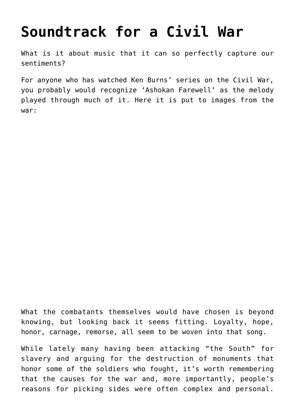## **[Soundtrack for a Civil War](https://intellectualtakeout.org/2015/09/soundtrack-for-a-civil-war/)**

What is it about music that it can so perfectly capture our sentiments?

For anyone who has watched Ken Burns' series on the Civil War, you probably would recognize 'Ashokan Farewell' as the melody played through much of it. Here it is put to images from the war:

What the combatants themselves would have chosen is beyond knowing, but looking back it seems fitting. Loyalty, hope, honor, carnage, remorse, all seem to be woven into that song.

While lately many having been attacking "the South" for slavery and arguing for the destruction of monuments that honor some of the soldiers who fought, it's worth remembering that the causes for the war and, more importantly, people's reasons for picking sides were often complex and personal.